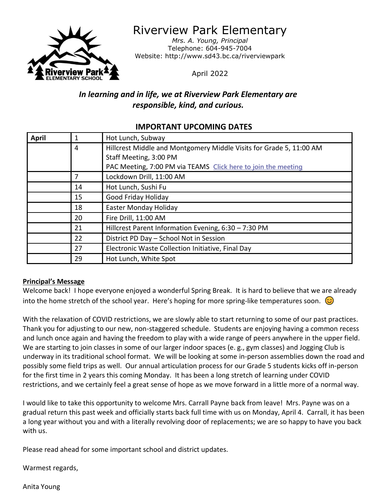

Riverview Park Elementary

*Mrs. A. Young, Principal* Telephone: 604-945-7004 Website: http://www.sd43.bc.ca/riverviewpark

April 2022

# *In learning and in life, we at Riverview Park Elementary are responsible, kind, and curious.*

# **April** 1 Hot Lunch, Subway 4 Hillcrest Middle and Montgomery Middle Visits for Grade 5, 11:00 AM Staff Meeting, 3:00 PM PAC Meeting, 7:00 PM via TEAMS **[Click here to join the meeting](https://teams.microsoft.com/l/meetup-join/19%3ameeting_YmZiMGFmZTEtMjJjYS00OGZjLTliZjQtMGZlMTkyNDdjYzZl%40thread.v2/0?context=%7b%22Tid%22%3a%22d9658cef-0292-4252-9925-6442de24a44b%22%2c%22Oid%22%3a%221b590d38-a337-41db-b865-c71f6b641bf3%22%7d)** 7 Lockdown Drill, 11:00 AM 14 | Hot Lunch, Sushi Fu 15 **Good Friday Holiday** 18 Easter Monday Holiday 20 Fire Drill, 11:00 AM 21 Hillcrest Parent Information Evening, 6:30 – 7:30 PM 22 | District PD Day – School Not in Session 27 Electronic Waste Collection Initiative, Final Day 29 Hot Lunch, White Spot

# **IMPORTANT UPCOMING DATES**

## **Principal's Message**

Welcome back! I hope everyone enjoyed a wonderful Spring Break. It is hard to believe that we are already into the home stretch of the school year. Here's hoping for more spring-like temperatures soon.  $\circled{c}$ 

With the relaxation of COVID restrictions, we are slowly able to start returning to some of our past practices. Thank you for adjusting to our new, non-staggered schedule. Students are enjoying having a common recess and lunch once again and having the freedom to play with a wide range of peers anywhere in the upper field. We are starting to join classes in some of our larger indoor spaces (e. g., gym classes) and Jogging Club is underway in its traditional school format. We will be looking at some in-person assemblies down the road and possibly some field trips as well. Our annual articulation process for our Grade 5 students kicks off in-person for the first time in 2 years this coming Monday. It has been a long stretch of learning under COVID restrictions, and we certainly feel a great sense of hope as we move forward in a little more of a normal way.

I would like to take this opportunity to welcome Mrs. Carrall Payne back from leave! Mrs. Payne was on a gradual return this past week and officially starts back full time with us on Monday, April 4. Carrall, it has been a long year without you and with a literally revolving door of replacements; we are so happy to have you back with us.

Please read ahead for some important school and district updates.

Warmest regards,

Anita Young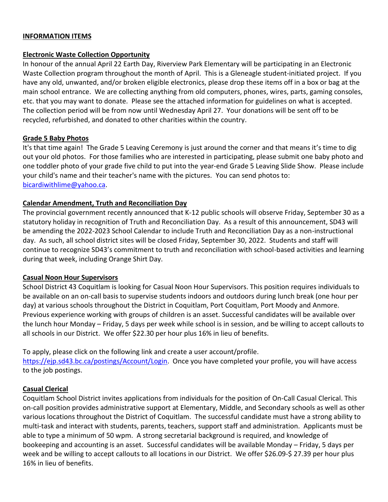#### **INFORMATION ITEMS**

#### **Electronic Waste Collection Opportunity**

In honour of the annual April 22 Earth Day, Riverview Park Elementary will be participating in an Electronic Waste Collection program throughout the month of April. This is a Gleneagle student-initiated project. If you have any old, unwanted, and/or broken eligible electronics, please drop these items off in a box or bag at the main school entrance. We are collecting anything from old computers, phones, wires, parts, gaming consoles, etc. that you may want to donate. Please see the attached information for guidelines on what is accepted. The collection period will be from now until Wednesday April 27. Your donations will be sent off to be recycled, refurbished, and donated to other charities within the country.

#### **Grade 5 Baby Photos**

It's that time again! The Grade 5 Leaving Ceremony is just around the corner and that means it's time to dig out your old photos. For those families who are interested in participating, please submit one baby photo and one toddler photo of your grade five child to put into the year-end Grade 5 Leaving Slide Show. Please include your child's name and their teacher's name with the pictures. You can send photos to: [bicardiwithlime@yahoo.ca.](mailto:bicardiwithlime@yahoo.ca)

### **Calendar Amendment, Truth and Reconciliation Day**

The provincial government recently announced that K-12 public schools will observe Friday, September 30 as a statutory holiday in recognition of Truth and Reconciliation Day. As a result of this announcement, SD43 will be amending the 2022-2023 School Calendar to include Truth and Reconciliation Day as a non-instructional day. As such, all school district sites will be closed Friday, September 30, 2022. Students and staff will continue to recognize SD43's commitment to truth and reconciliation with school-based activities and learning during that week, including Orange Shirt Day.

#### **Casual Noon Hour Supervisors**

School District 43 Coquitlam is looking for Casual Noon Hour Supervisors. This position requires individuals to be available on an on-call basis to supervise students indoors and outdoors during lunch break (one hour per day) at various schools throughout the District in Coquitlam, Port Coquitlam, Port Moody and Anmore. Previous experience working with groups of children is an asset. Successful candidates will be available over the lunch hour Monday – Friday, 5 days per week while school is in session, and be willing to accept callouts to all schools in our District. We offer \$22.30 per hour plus 16% in lieu of benefits.

To apply, please click on the following link and create a user account/profile. [https://ejp.sd43.bc.ca/postings/Account/Login.](https://ejp.sd43.bc.ca/postings/Account/Login) Once you have completed your profile, you will have access to the job postings.

### **Casual Clerical**

Coquitlam School District invites applications from individuals for the position of On-Call Casual Clerical. This on-call position provides administrative support at Elementary, Middle, and Secondary schools as well as other various locations throughout the District of Coquitlam. The successful candidate must have a strong ability to multi-task and interact with students, parents, teachers, support staff and administration. Applicants must be able to type a minimum of 50 wpm. A strong secretarial background is required, and knowledge of bookeeping and accounting is an asset. Successful candidates will be available Monday – Friday, 5 days per week and be willing to accept callouts to all locations in our District. We offer \$26.09-\$ 27.39 per hour plus 16% in lieu of benefits.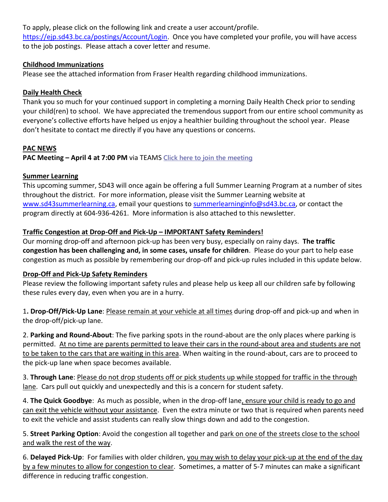To apply, please click on the following link and create a user account/profile.

[https://ejp.sd43.bc.ca/postings/Account/Login.](https://ejp.sd43.bc.ca/postings/Account/Login) Once you have completed your profile, you will have access to the job postings. Please attach a cover letter and resume.

## **Childhood Immunizations**

Please see the attached information from Fraser Health regarding childhood immunizations.

## **Daily Health Check**

Thank you so much for your continued support in completing a morning Daily Health Check prior to sending your child(ren) to school. We have appreciated the tremendous support from our entire school community as everyone's collective efforts have helped us enjoy a healthier building throughout the school year. Please don't hesitate to contact me directly if you have any questions or concerns.

## **PAC NEWS**

**PAC Meeting – April 4 at 7:00 PM** via TEAMS **[Click here to join the meeting](https://teams.microsoft.com/l/meetup-join/19%3ameeting_YmZiMGFmZTEtMjJjYS00OGZjLTliZjQtMGZlMTkyNDdjYzZl%40thread.v2/0?context=%7b%22Tid%22%3a%22d9658cef-0292-4252-9925-6442de24a44b%22%2c%22Oid%22%3a%221b590d38-a337-41db-b865-c71f6b641bf3%22%7d)**

## **Summer Learning**

This upcoming summer, SD43 will once again be offering a full Summer Learning Program at a number of sites throughout the district. For more information, please visit the Summer Learning website at [www.sd43summerlearning.ca,](http://www.sd43summerlearning.ca/) email your questions to [summerlearninginfo@sd43.bc.ca,](mailto:summerlearninginfo@sd43.bc.ca) or contact the program directly at 604-936-4261. More information is also attached to this newsletter.

## **Traffic Congestion at Drop-Off and Pick-Up – IMPORTANT Safety Reminders!**

Our morning drop-off and afternoon pick-up has been very busy, especially on rainy days. **The traffic congestion has been challenging and, in some cases, unsafe for children**. Please do your part to help ease congestion as much as possible by remembering our drop-off and pick-up rules included in this update below.

### **Drop-Off and Pick-Up Safety Reminders**

Please review the following important safety rules and please help us keep all our children safe by following these rules every day, even when you are in a hurry.

1**. Drop-Off/Pick-Up Lane**: Please remain at your vehicle at all times during drop-off and pick-up and when in the drop-off/pick-up lane.

2. **Parking and Round-About**: The five parking spots in the round-about are the only places where parking is permitted. At no time are parents permitted to leave their cars in the round-about area and students are not to be taken to the cars that are waiting in this area. When waiting in the round-about, cars are to proceed to the pick-up lane when space becomes available.

3. **Through Lane**: Please do not drop students off or pick students up while stopped for traffic in the through lane. Cars pull out quickly and unexpectedly and this is a concern for student safety.

4. **The Quick Goodbye**: As much as possible, when in the drop-off lane, ensure your child is ready to go and can exit the vehicle without your assistance. Even the extra minute or two that is required when parents need to exit the vehicle and assist students can really slow things down and add to the congestion.

5. **Street Parking Option**: Avoid the congestion all together and park on one of the streets close to the school and walk the rest of the way.

6. **Delayed Pick-Up**: For families with older children, you may wish to delay your pick-up at the end of the day by a few minutes to allow for congestion to clear. Sometimes, a matter of 5-7 minutes can make a significant difference in reducing traffic congestion.